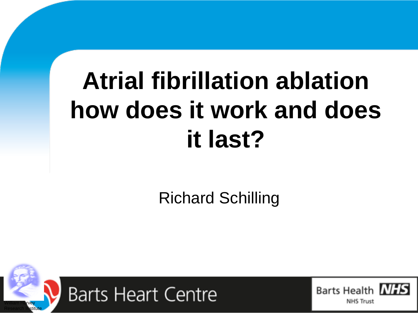# **Atrial fibrillation ablation how does it work and does it last?**

Richard Schilling



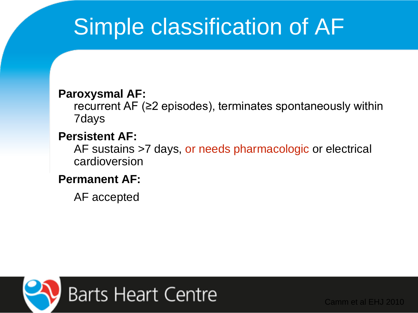# Simple classification of AF

#### **Paroxysmal AF:**

recurrent AF (≥2 episodes), terminates spontaneously within 7days

#### **Persistent AF:**

AF sustains >7 days, or needs pharmacologic or electrical cardioversion

#### **Permanent AF:**

AF accepted

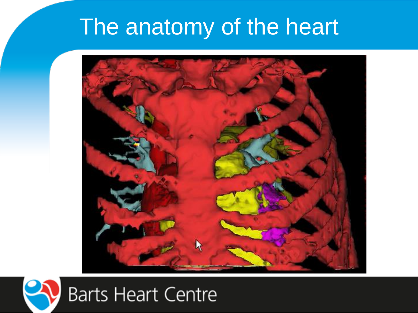### The anatomy of the heart



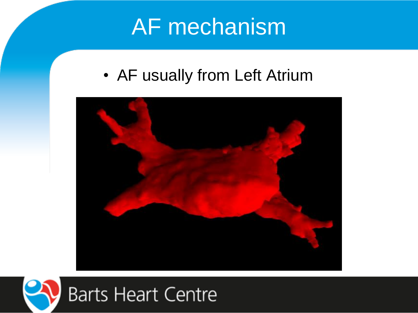# AF mechanism

• AF usually from Left Atrium



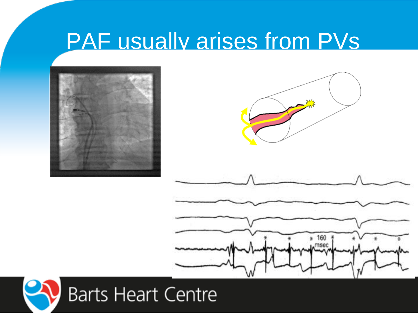#### PAF usually arises from PVs









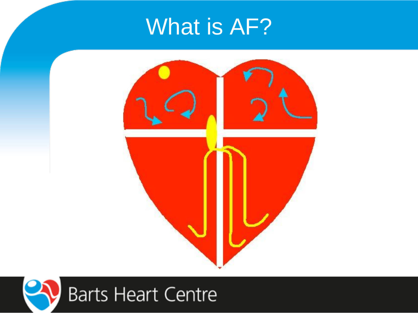# What is AF?



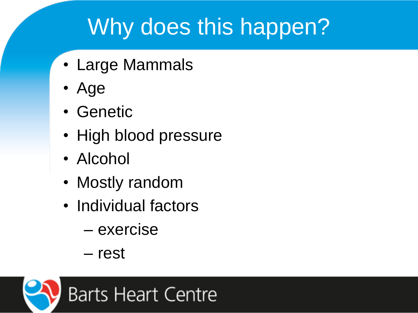# Why does this happen?

- Large Mammals
- Age
- Genetic
- High blood pressure
- Alcohol
- Mostly random
- Individual factors
	- exercise
	- rest

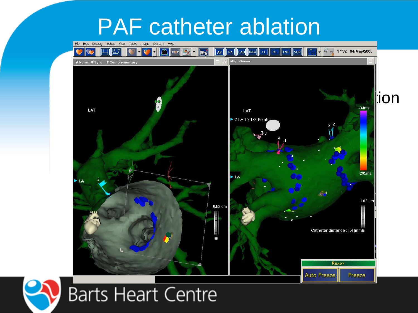#### PAF catheter ablation



**Barts Heart Centre**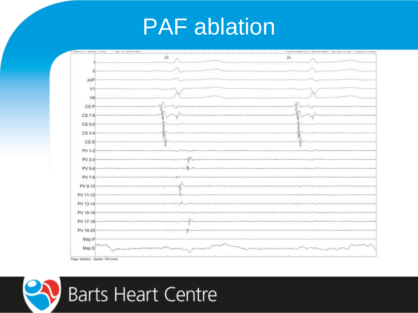#### **PAF** ablation



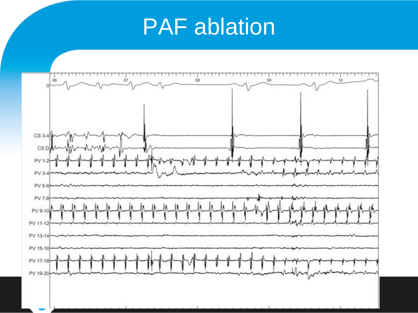### PAF ablation

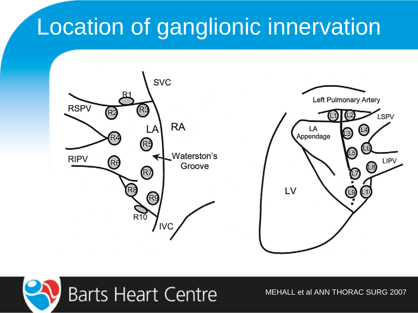# Location of ganglionic innervation







MEHALL et al ANN THORAC SURG 2007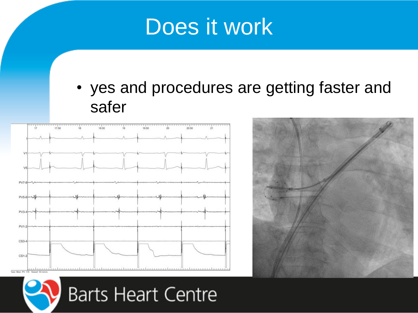### Does it work

• yes and procedures are getting faster and safer





**Barts Heart Centre**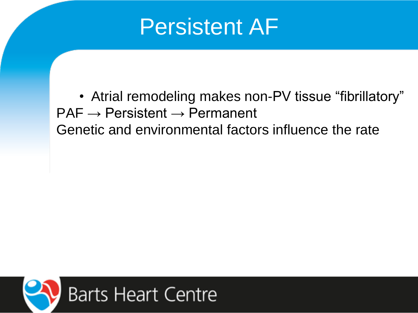#### Persistent AF

• Atrial remodeling makes non-PV tissue "fibrillatory"  $PAF \rightarrow$  Persistent  $\rightarrow$  Permanent Genetic and environmental factors influence the rate

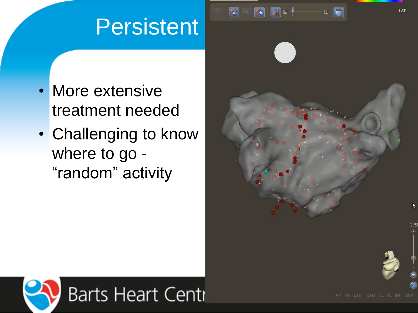### Persistent

- More extensive treatment needed
- Challenging to know where to go - "random" activity





LAT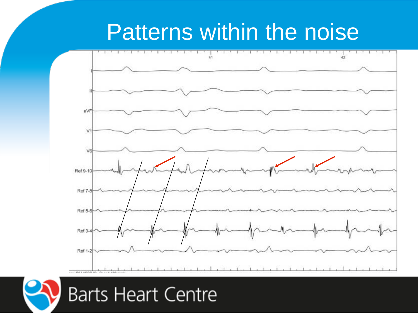### Patterns within the noise



**Barts Heart Centre**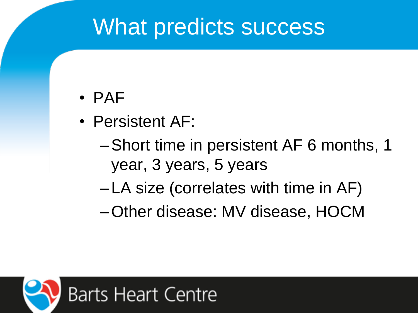### What predicts success

- PAF
- Persistent AF:
	- –Short time in persistent AF 6 months, 1 year, 3 years, 5 years
	- –LA size (correlates with time in AF)
	- –Other disease: MV disease, HOCM

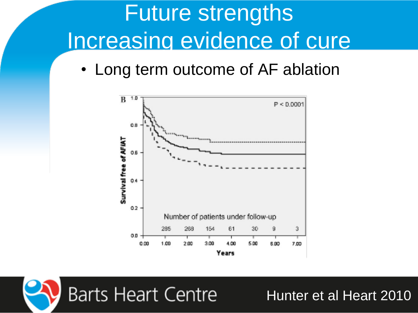# Future strengths Increasing evidence of cure

• Long term outcome of AF ablation





Hunter et al Heart 2010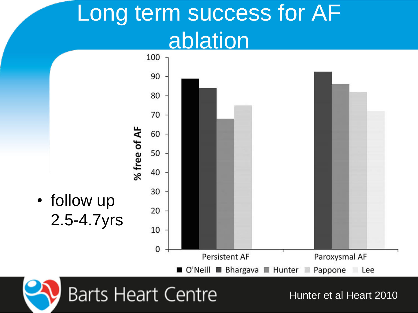# Long term success for AF ablation



Hunter et al Heart 2010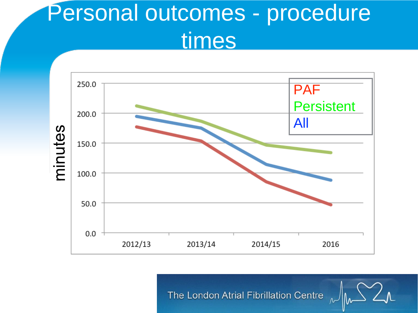# Personal outcomes - procedure times



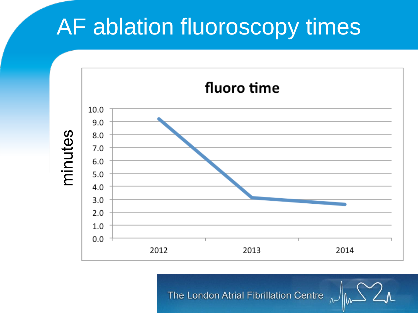# AF ablation fluoroscopy times



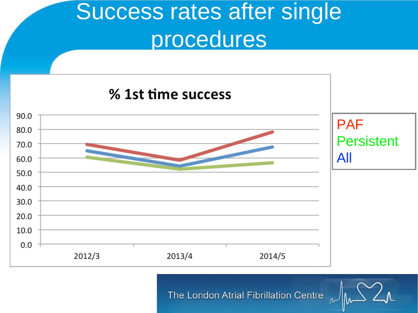# Success rates after single procedures



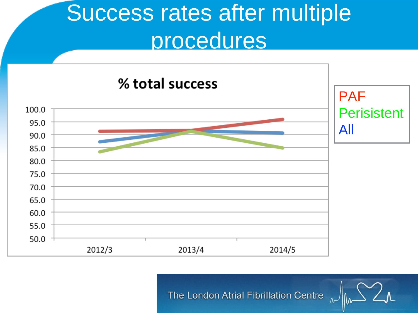# Success rates after multiple procedures